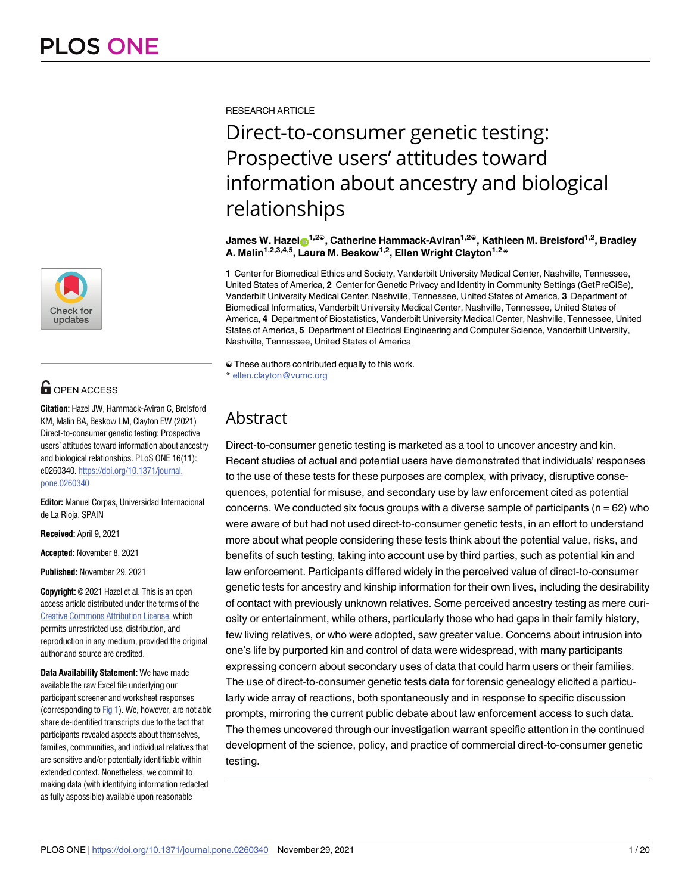

# **OPEN ACCESS**

**Citation:** Hazel JW, Hammack-Aviran C, Brelsford KM, Malin BA, Beskow LM, Clayton EW (2021) Direct-to-consumer genetic testing: Prospective users' attitudes toward information about ancestry and biological relationships. PLoS ONE 16(11): e0260340. [https://doi.org/10.1371/journal.](https://doi.org/10.1371/journal.pone.0260340) [pone.0260340](https://doi.org/10.1371/journal.pone.0260340)

**Editor:** Manuel Corpas, Universidad Internacional de La Rioja, SPAIN

**Received:** April 9, 2021

**Accepted:** November 8, 2021

**Published:** November 29, 2021

**Copyright:** © 2021 Hazel et al. This is an open access article distributed under the terms of the Creative Commons [Attribution](http://creativecommons.org/licenses/by/4.0/) License, which permits unrestricted use, distribution, and reproduction in any medium, provided the original author and source are credited.

**Data Availability Statement:** We have made available the raw Excel file underlying our participant screener and worksheet responses (corresponding to [Fig](#page-4-0) 1). We, however, are not able share de-identified transcripts due to the fact that participants revealed aspects about themselves, families, communities, and individual relatives that are sensitive and/or potentially identifiable within extended context. Nonetheless, we commit to making data (with identifying information redacted as fully aspossible) available upon reasonable

<span id="page-0-0"></span>RESEARCH ARTICLE

# Direct-to-consumer genetic testing: Prospective users' attitudes toward information about ancestry and biological relationships

**James W. Hazel**<sup>1,2</sup><sup>®</sup>, Catherine Hammack-Aviran<sup>1,2</sup><sup>®</sup>, Kathleen M. Brelsford<sup>1,2</sup>, Bradley **A. Malin1,2,3,4,5, Laura M. Beskow1,2, Ellen Wright Clayton1,2\***

**1** Center for Biomedical Ethics and Society, Vanderbilt University Medical Center, Nashville, Tennessee, United States of America, **2** Center for Genetic Privacy and Identity in Community Settings (GetPreCiSe), Vanderbilt University Medical Center, Nashville, Tennessee, United States of America, **3** Department of Biomedical Informatics, Vanderbilt University Medical Center, Nashville, Tennessee, United States of America, **4** Department of Biostatistics, Vanderbilt University Medical Center, Nashville, Tennessee, United States of America, **5** Department of Electrical Engineering and Computer Science, Vanderbilt University, Nashville, Tennessee, United States of America

☯ These authors contributed equally to this work. \* ellen.clayton@vumc.org

# Abstract

Direct-to-consumer genetic testing is marketed as a tool to uncover ancestry and kin. Recent studies of actual and potential users have demonstrated that individuals' responses to the use of these tests for these purposes are complex, with privacy, disruptive consequences, potential for misuse, and secondary use by law enforcement cited as potential concerns. We conducted six focus groups with a diverse sample of participants ( $n = 62$ ) who were aware of but had not used direct-to-consumer genetic tests, in an effort to understand more about what people considering these tests think about the potential value, risks, and benefits of such testing, taking into account use by third parties, such as potential kin and law enforcement. Participants differed widely in the perceived value of direct-to-consumer genetic tests for ancestry and kinship information for their own lives, including the desirability of contact with previously unknown relatives. Some perceived ancestry testing as mere curiosity or entertainment, while others, particularly those who had gaps in their family history, few living relatives, or who were adopted, saw greater value. Concerns about intrusion into one's life by purported kin and control of data were widespread, with many participants expressing concern about secondary uses of data that could harm users or their families. The use of direct-to-consumer genetic tests data for forensic genealogy elicited a particularly wide array of reactions, both spontaneously and in response to specific discussion prompts, mirroring the current public debate about law enforcement access to such data. The themes uncovered through our investigation warrant specific attention in the continued development of the science, policy, and practice of commercial direct-to-consumer genetic testing.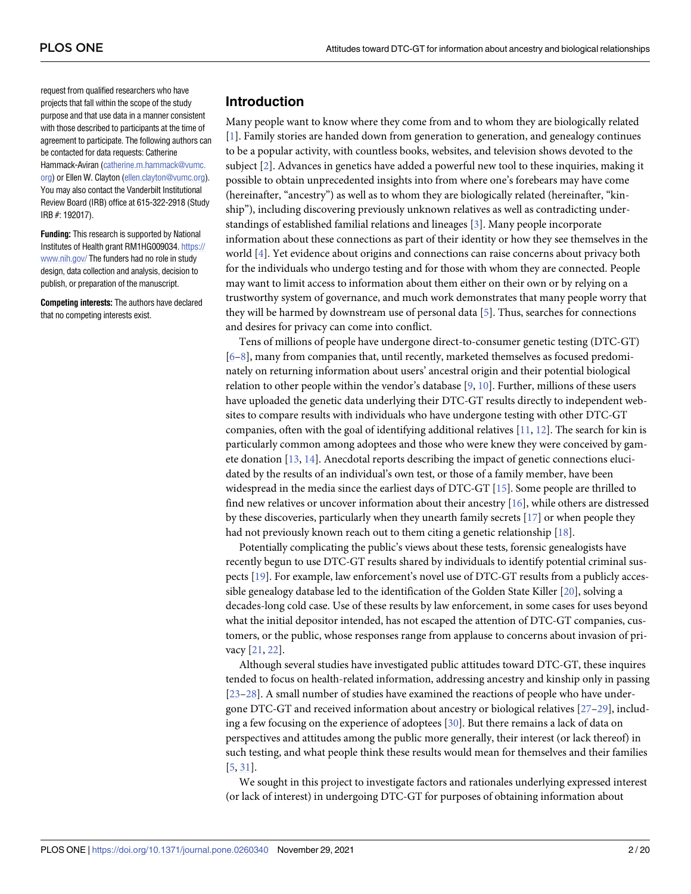<span id="page-1-0"></span>request from qualified researchers who have projects that fall within the scope of the study purpose and that use data in a manner consistent with those described to participants at the time of agreement to participate. The following authors can be contacted for data requests: Catherine Hammack-Aviran ([catherine.m.hammack@vumc.](mailto:catherine.m.hammack@vumc.org) [org](mailto:catherine.m.hammack@vumc.org)) or Ellen W. Clayton [\(ellen.clayton@vumc.org\)](mailto:ellen.clayton@vumc.org). You may also contact the Vanderbilt Institutional Review Board (IRB) office at 615-322-2918 (Study IRB #: 192017).

**Funding:** This research is supported by National Institutes of Health grant RM1HG009034. [https://](https://www.nih.gov/) [www.nih.gov/](https://www.nih.gov/) The funders had no role in study design, data collection and analysis, decision to publish, or preparation of the manuscript.

**Competing interests:** The authors have declared that no competing interests exist.

# **Introduction**

Many people want to know where they come from and to whom they are biologically related [\[1](#page-16-0)]. Family stories are handed down from generation to generation, and genealogy continues to be a popular activity, with countless books, websites, and television shows devoted to the subject [[2](#page-16-0)]. Advances in genetics have added a powerful new tool to these inquiries, making it possible to obtain unprecedented insights into from where one's forebears may have come (hereinafter, "ancestry") as well as to whom they are biologically related (hereinafter, "kinship"), including discovering previously unknown relatives as well as contradicting understandings of established familial relations and lineages [\[3\]](#page-16-0). Many people incorporate information about these connections as part of their identity or how they see themselves in the world [\[4\]](#page-16-0). Yet evidence about origins and connections can raise concerns about privacy both for the individuals who undergo testing and for those with whom they are connected. People may want to limit access to information about them either on their own or by relying on a trustworthy system of governance, and much work demonstrates that many people worry that they will be harmed by downstream use of personal data [[5](#page-16-0)]. Thus, searches for connections and desires for privacy can come into conflict.

Tens of millions of people have undergone direct-to-consumer genetic testing (DTC-GT) [\[6–8](#page-16-0)], many from companies that, until recently, marketed themselves as focused predominately on returning information about users' ancestral origin and their potential biological relation to other people within the vendor's database  $[9, 10]$  $[9, 10]$  $[9, 10]$  $[9, 10]$ . Further, millions of these users have uploaded the genetic data underlying their DTC-GT results directly to independent websites to compare results with individuals who have undergone testing with other DTC-GT companies, often with the goal of identifying additional relatives  $[11, 12]$  $[11, 12]$  $[11, 12]$  $[11, 12]$  $[11, 12]$ . The search for kin is particularly common among adoptees and those who were knew they were conceived by gamete donation [[13](#page-17-0), [14](#page-17-0)]. Anecdotal reports describing the impact of genetic connections elucidated by the results of an individual's own test, or those of a family member, have been widespread in the media since the earliest days of DTC-GT [[15](#page-17-0)]. Some people are thrilled to find new relatives or uncover information about their ancestry [[16](#page-17-0)], while others are distressed by these discoveries, particularly when they unearth family secrets [\[17\]](#page-17-0) or when people they had not previously known reach out to them citing a genetic relationship [\[18\]](#page-17-0).

Potentially complicating the public's views about these tests, forensic genealogists have recently begun to use DTC-GT results shared by individuals to identify potential criminal suspects [[19](#page-17-0)]. For example, law enforcement's novel use of DTC-GT results from a publicly accessible genealogy database led to the identification of the Golden State Killer [[20](#page-17-0)], solving a decades-long cold case. Use of these results by law enforcement, in some cases for uses beyond what the initial depositor intended, has not escaped the attention of DTC-GT companies, customers, or the public, whose responses range from applause to concerns about invasion of privacy [\[21,](#page-17-0) [22\]](#page-17-0).

Although several studies have investigated public attitudes toward DTC-GT, these inquires tended to focus on health-related information, addressing ancestry and kinship only in passing [\[23–28\]](#page-17-0). A small number of studies have examined the reactions of people who have undergone DTC-GT and received information about ancestry or biological relatives [[27–29\]](#page-17-0), including a few focusing on the experience of adoptees [[30](#page-17-0)]. But there remains a lack of data on perspectives and attitudes among the public more generally, their interest (or lack thereof) in such testing, and what people think these results would mean for themselves and their families [\[5](#page-16-0), [31](#page-17-0)].

We sought in this project to investigate factors and rationales underlying expressed interest (or lack of interest) in undergoing DTC-GT for purposes of obtaining information about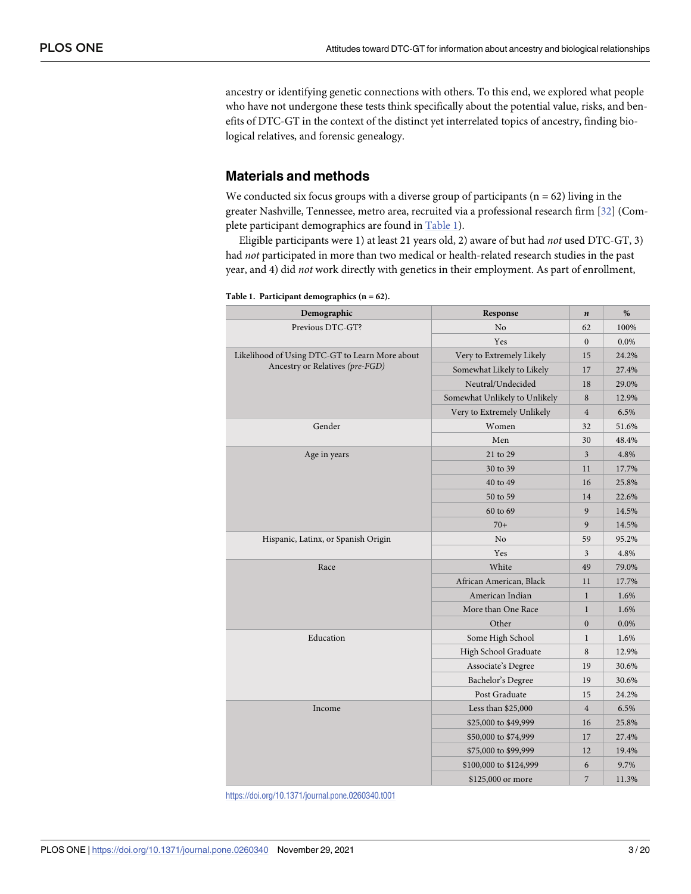<span id="page-2-0"></span>ancestry or identifying genetic connections with others. To this end, we explored what people who have not undergone these tests think specifically about the potential value, risks, and benefits of DTC-GT in the context of the distinct yet interrelated topics of ancestry, finding biological relatives, and forensic genealogy.

# **Materials and methods**

We conducted six focus groups with a diverse group of participants ( $n = 62$ ) living in the greater Nashville, Tennessee, metro area, recruited via a professional research firm [[32](#page-17-0)] (Complete participant demographics are found in Table 1).

Eligible participants were 1) at least 21 years old, 2) aware of but had *not* used DTC-GT, 3) had *not* participated in more than two medical or health-related research studies in the past year, and 4) did *not* work directly with genetics in their employment. As part of enrollment,

| Demographic                                    | Response                      | $\boldsymbol{n}$ | %       |
|------------------------------------------------|-------------------------------|------------------|---------|
| Previous DTC-GT?                               | No                            | 62               | 100%    |
|                                                | Yes                           | $\mathbf{0}$     | 0.0%    |
| Likelihood of Using DTC-GT to Learn More about | Very to Extremely Likely      | 15               | 24.2%   |
| Ancestry or Relatives (pre-FGD)                | Somewhat Likely to Likely     | 17               | 27.4%   |
|                                                | Neutral/Undecided             | 18               | 29.0%   |
|                                                | Somewhat Unlikely to Unlikely | 8                | 12.9%   |
|                                                | Very to Extremely Unlikely    | $\overline{4}$   | 6.5%    |
| Gender                                         | Women                         | 32               | 51.6%   |
|                                                | Men                           | 30               | 48.4%   |
| Age in years                                   | 21 to 29                      | 3                | 4.8%    |
|                                                | 30 to 39                      | 11               | 17.7%   |
|                                                | 40 to 49                      | 16               | 25.8%   |
|                                                | 50 to 59                      | 14               | 22.6%   |
|                                                | 60 to 69                      | 9                | 14.5%   |
|                                                | $70+$                         | 9                | 14.5%   |
| Hispanic, Latinx, or Spanish Origin            | N <sub>o</sub>                | 59               | 95.2%   |
|                                                | Yes                           | 3                | 4.8%    |
| Race                                           | White                         | 49               | 79.0%   |
|                                                | African American, Black       | 11               | 17.7%   |
|                                                | American Indian               | $\mathbf{1}$     | 1.6%    |
|                                                | More than One Race            | $\mathbf{1}$     | 1.6%    |
|                                                | Other                         | $\mathbf{0}$     | $0.0\%$ |
| Education                                      | Some High School              | $\mathbf{1}$     | 1.6%    |
|                                                | High School Graduate          | 8                | 12.9%   |
|                                                | Associate's Degree            | 19               | 30.6%   |
|                                                | Bachelor's Degree             | 19               | 30.6%   |
|                                                | Post Graduate                 | 15               | 24.2%   |
| Income                                         | Less than \$25,000            | $\overline{4}$   | 6.5%    |
|                                                | \$25,000 to \$49,999          | 16               | 25.8%   |
|                                                | \$50,000 to \$74,999          | 17               | 27.4%   |
|                                                | \$75,000 to \$99,999          | 12               | 19.4%   |
|                                                | \$100,000 to \$124,999        | 6                | 9.7%    |
|                                                | \$125,000 or more             | 7                | 11.3%   |

**Table 1. Participant demographics (n = 62).**

<https://doi.org/10.1371/journal.pone.0260340.t001>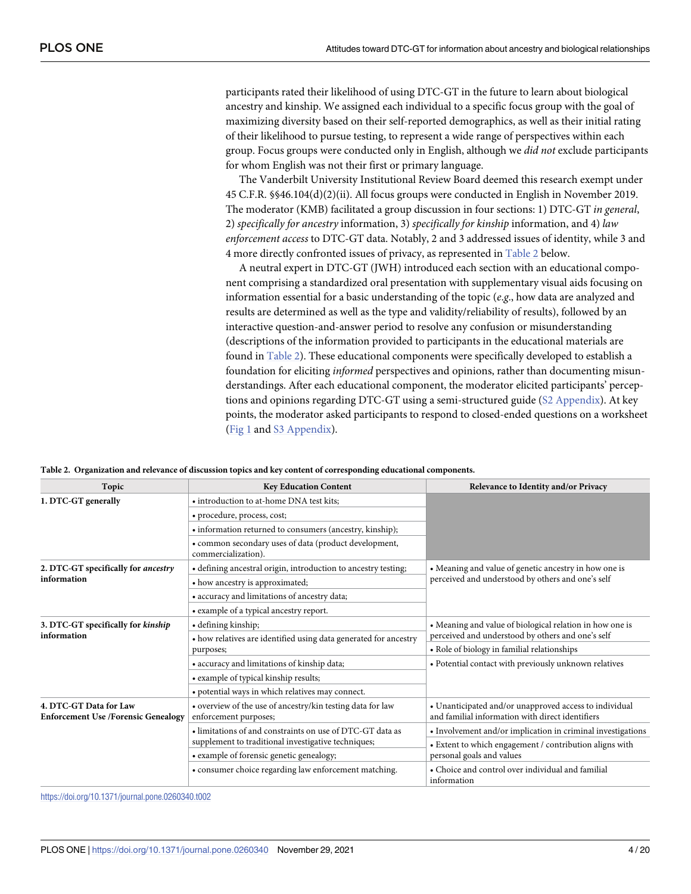participants rated their likelihood of using DTC-GT in the future to learn about biological ancestry and kinship. We assigned each individual to a specific focus group with the goal of maximizing diversity based on their self-reported demographics, as well as their initial rating of their likelihood to pursue testing, to represent a wide range of perspectives within each group. Focus groups were conducted only in English, although we *did not* exclude participants for whom English was not their first or primary language.

The Vanderbilt University Institutional Review Board deemed this research exempt under 45 C.F.R. §§46.104(d)(2)(ii). All focus groups were conducted in English in November 2019. The moderator (KMB) facilitated a group discussion in four sections: 1) DTC-GT *in general*, 2) *specifically for ancestry* information, 3) *specifically for kinship* information, and 4) *law enforcement access* to DTC-GT data. Notably, 2 and 3 addressed issues of identity, while 3 and 4 more directly confronted issues of privacy, as represented in Table 2 below.

A neutral expert in DTC-GT (JWH) introduced each section with an educational component comprising a standardized oral presentation with supplementary visual aids focusing on information essential for a basic understanding of the topic (*e*.*g*., how data are analyzed and results are determined as well as the type and validity/reliability of results), followed by an interactive question-and-answer period to resolve any confusion or misunderstanding (descriptions of the information provided to participants in the educational materials are found in Table 2). These educational components were specifically developed to establish a foundation for eliciting *informed* perspectives and opinions, rather than documenting misunderstandings. After each educational component, the moderator elicited participants' perceptions and opinions regarding DTC-GT using a semi-structured guide (S2 [Appendix\)](#page-15-0). At key points, the moderator asked participants to respond to closed-ended questions on a worksheet [\(Fig](#page-4-0) 1 and S3 [Appendix\)](#page-15-0).

|  |  |  |  |  |  |  | Table 2. Organization and relevance of discussion topics and key content of corresponding educational components. |  |
|--|--|--|--|--|--|--|-------------------------------------------------------------------------------------------------------------------|--|
|--|--|--|--|--|--|--|-------------------------------------------------------------------------------------------------------------------|--|

| Topic                                                                | <b>Key Education Content</b>                                                        | Relevance to Identity and/or Privacy                                                                       |  |  |
|----------------------------------------------------------------------|-------------------------------------------------------------------------------------|------------------------------------------------------------------------------------------------------------|--|--|
| 1. DTC-GT generally                                                  | • introduction to at-home DNA test kits;                                            |                                                                                                            |  |  |
|                                                                      | • procedure, process, cost;                                                         |                                                                                                            |  |  |
|                                                                      | • information returned to consumers (ancestry, kinship);                            |                                                                                                            |  |  |
|                                                                      | • common secondary uses of data (product development,<br>commercialization).        |                                                                                                            |  |  |
| 2. DTC-GT specifically for ancestry<br>information                   | • defining ancestral origin, introduction to ancestry testing;                      | • Meaning and value of genetic ancestry in how one is                                                      |  |  |
|                                                                      | • how ancestry is approximated;                                                     | perceived and understood by others and one's self                                                          |  |  |
|                                                                      | • accuracy and limitations of ancestry data;                                        |                                                                                                            |  |  |
|                                                                      | • example of a typical ancestry report.                                             |                                                                                                            |  |  |
| 3. DTC-GT specifically for kinship<br>information                    | • defining kinship;                                                                 | • Meaning and value of biological relation in how one is                                                   |  |  |
|                                                                      | • how relatives are identified using data generated for ancestry                    | perceived and understood by others and one's self                                                          |  |  |
|                                                                      | purposes;                                                                           | • Role of biology in familial relationships                                                                |  |  |
|                                                                      | • accuracy and limitations of kinship data;                                         | • Potential contact with previously unknown relatives                                                      |  |  |
|                                                                      | • example of typical kinship results;                                               |                                                                                                            |  |  |
|                                                                      | • potential ways in which relatives may connect.                                    |                                                                                                            |  |  |
| 4. DTC-GT Data for Law<br><b>Enforcement Use /Forensic Genealogy</b> | • overview of the use of ancestry/kin testing data for law<br>enforcement purposes; | • Unanticipated and/or unapproved access to individual<br>and familial information with direct identifiers |  |  |
|                                                                      | • limitations of and constraints on use of DTC-GT data as                           | • Involvement and/or implication in criminal investigations                                                |  |  |
|                                                                      | supplement to traditional investigative techniques;                                 | • Extent to which engagement / contribution aligns with                                                    |  |  |
|                                                                      | • example of forensic genetic genealogy;                                            | personal goals and values                                                                                  |  |  |
|                                                                      | • consumer choice regarding law enforcement matching.                               | • Choice and control over individual and familial<br>information                                           |  |  |

<https://doi.org/10.1371/journal.pone.0260340.t002>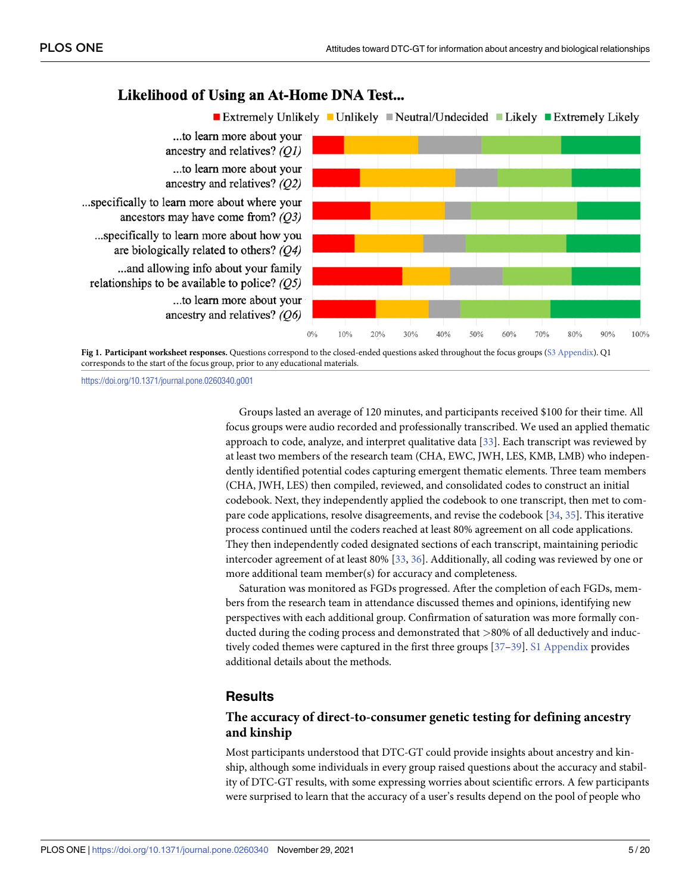# Likelihood of Using an At-Home DNA Test...

<span id="page-4-0"></span>



<https://doi.org/10.1371/journal.pone.0260340.g001>

Groups lasted an average of 120 minutes, and participants received \$100 for their time. All focus groups were audio recorded and professionally transcribed. We used an applied thematic approach to code, analyze, and interpret qualitative data [\[33\]](#page-18-0). Each transcript was reviewed by at least two members of the research team (CHA, EWC, JWH, LES, KMB, LMB) who independently identified potential codes capturing emergent thematic elements. Three team members (CHA, JWH, LES) then compiled, reviewed, and consolidated codes to construct an initial codebook. Next, they independently applied the codebook to one transcript, then met to compare code applications, resolve disagreements, and revise the codebook [[34](#page-18-0), [35](#page-18-0)]. This iterative process continued until the coders reached at least 80% agreement on all code applications. They then independently coded designated sections of each transcript, maintaining periodic intercoder agreement of at least 80% [\[33,](#page-18-0) [36\]](#page-18-0). Additionally, all coding was reviewed by one or more additional team member(s) for accuracy and completeness.

Saturation was monitored as FGDs progressed. After the completion of each FGDs, members from the research team in attendance discussed themes and opinions, identifying new perspectives with each additional group. Confirmation of saturation was more formally conducted during the coding process and demonstrated that *>*80% of all deductively and inductively coded themes were captured in the first three groups [\[37–39](#page-18-0)]. S1 [Appendix](#page-15-0) provides additional details about the methods.

# **Results**

# **The accuracy of direct-to-consumer genetic testing for defining ancestry and kinship**

Most participants understood that DTC-GT could provide insights about ancestry and kinship, although some individuals in every group raised questions about the accuracy and stability of DTC-GT results, with some expressing worries about scientific errors. A few participants were surprised to learn that the accuracy of a user's results depend on the pool of people who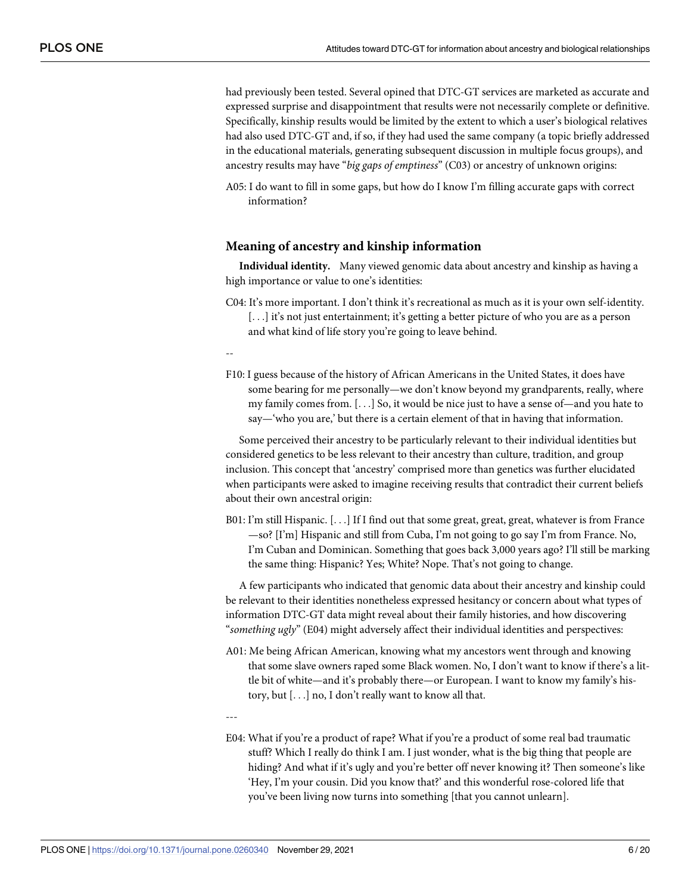had previously been tested. Several opined that DTC-GT services are marketed as accurate and expressed surprise and disappointment that results were not necessarily complete or definitive. Specifically, kinship results would be limited by the extent to which a user's biological relatives had also used DTC-GT and, if so, if they had used the same company (a topic briefly addressed in the educational materials, generating subsequent discussion in multiple focus groups), and ancestry results may have "*big gaps of emptiness*" (C03) or ancestry of unknown origins:

A05: I do want to fill in some gaps, but how do I know I'm filling accurate gaps with correct information?

#### **Meaning of ancestry and kinship information**

**Individual identity.** Many viewed genomic data about ancestry and kinship as having a high importance or value to one's identities:

C04: It's more important. I don't think it's recreational as much as it is your own self-identity. [...] it's not just entertainment; it's getting a better picture of who you are as a person and what kind of life story you're going to leave behind.

--

F10: I guess because of the history of African Americans in the United States, it does have some bearing for me personally—we don't know beyond my grandparents, really, where my family comes from. [. . .] So, it would be nice just to have a sense of—and you hate to say—'who you are,' but there is a certain element of that in having that information.

Some perceived their ancestry to be particularly relevant to their individual identities but considered genetics to be less relevant to their ancestry than culture, tradition, and group inclusion. This concept that 'ancestry' comprised more than genetics was further elucidated when participants were asked to imagine receiving results that contradict their current beliefs about their own ancestral origin:

B01: I'm still Hispanic. [. . .] If I find out that some great, great, great, whatever is from France —so? [I'm] Hispanic and still from Cuba, I'm not going to go say I'm from France. No, I'm Cuban and Dominican. Something that goes back 3,000 years ago? I'll still be marking the same thing: Hispanic? Yes; White? Nope. That's not going to change.

A few participants who indicated that genomic data about their ancestry and kinship could be relevant to their identities nonetheless expressed hesitancy or concern about what types of information DTC-GT data might reveal about their family histories, and how discovering "*something ugly*" (E04) might adversely affect their individual identities and perspectives:

A01: Me being African American, knowing what my ancestors went through and knowing that some slave owners raped some Black women. No, I don't want to know if there's a little bit of white—and it's probably there—or European. I want to know my family's history, but [. . .] no, I don't really want to know all that.

---

E04: What if you're a product of rape? What if you're a product of some real bad traumatic stuff? Which I really do think I am. I just wonder, what is the big thing that people are hiding? And what if it's ugly and you're better off never knowing it? Then someone's like 'Hey, I'm your cousin. Did you know that?' and this wonderful rose-colored life that you've been living now turns into something [that you cannot unlearn].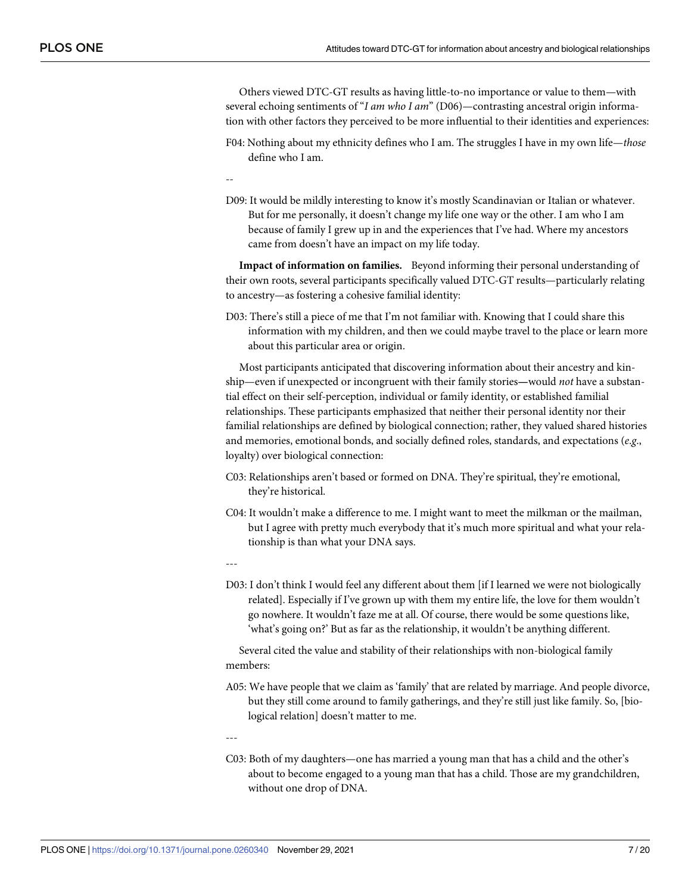Others viewed DTC-GT results as having little-to-no importance or value to them—with several echoing sentiments of "*I am who I am*" (D06)—contrasting ancestral origin information with other factors they perceived to be more influential to their identities and experiences:

- F04: Nothing about my ethnicity defines who I am. The struggles I have in my own life—*those* define who I am.
- --
- D09: It would be mildly interesting to know it's mostly Scandinavian or Italian or whatever. But for me personally, it doesn't change my life one way or the other. I am who I am because of family I grew up in and the experiences that I've had. Where my ancestors came from doesn't have an impact on my life today.

**Impact of information on families.** Beyond informing their personal understanding of their own roots, several participants specifically valued DTC-GT results—particularly relating to ancestry—as fostering a cohesive familial identity:

D03: There's still a piece of me that I'm not familiar with. Knowing that I could share this information with my children, and then we could maybe travel to the place or learn more about this particular area or origin.

Most participants anticipated that discovering information about their ancestry and kinship—even if unexpected or incongruent with their family stories**—**would *not* have a substantial effect on their self-perception, individual or family identity, or established familial relationships. These participants emphasized that neither their personal identity nor their familial relationships are defined by biological connection; rather, they valued shared histories and memories, emotional bonds, and socially defined roles, standards, and expectations (*e*.*g*., loyalty) over biological connection:

- C03: Relationships aren't based or formed on DNA. They're spiritual, they're emotional, they're historical.
- C04: It wouldn't make a difference to me. I might want to meet the milkman or the mailman, but I agree with pretty much everybody that it's much more spiritual and what your relationship is than what your DNA says.

---

D03: I don't think I would feel any different about them [if I learned we were not biologically related]. Especially if I've grown up with them my entire life, the love for them wouldn't go nowhere. It wouldn't faze me at all. Of course, there would be some questions like, 'what's going on?' But as far as the relationship, it wouldn't be anything different.

Several cited the value and stability of their relationships with non-biological family members:

A05: We have people that we claim as 'family' that are related by marriage. And people divorce, but they still come around to family gatherings, and they're still just like family. So, [biological relation] doesn't matter to me.

---

C03: Both of my daughters—one has married a young man that has a child and the other's about to become engaged to a young man that has a child. Those are my grandchildren, without one drop of DNA.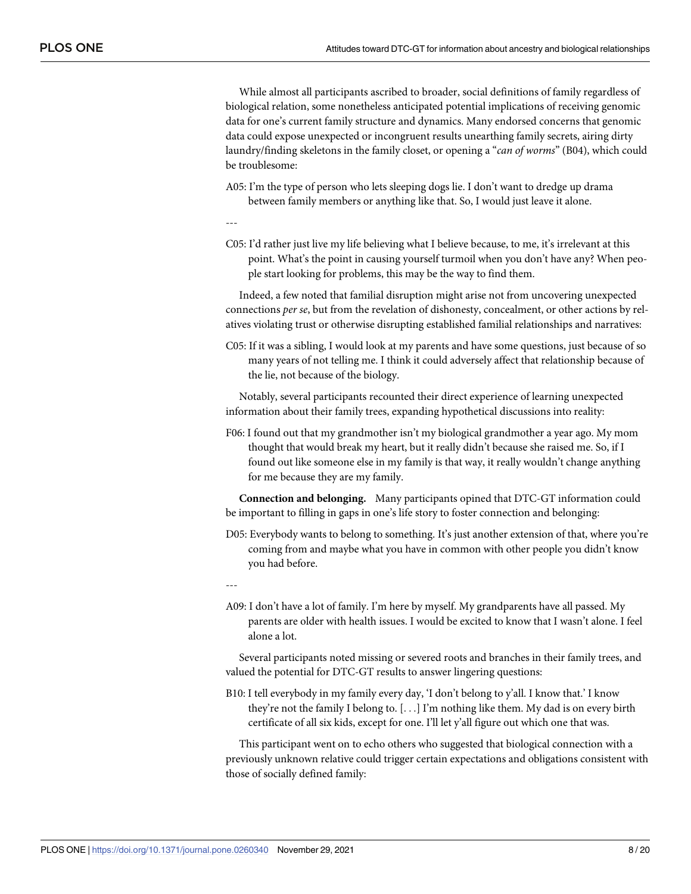While almost all participants ascribed to broader, social definitions of family regardless of biological relation, some nonetheless anticipated potential implications of receiving genomic data for one's current family structure and dynamics. Many endorsed concerns that genomic data could expose unexpected or incongruent results unearthing family secrets, airing dirty laundry/finding skeletons in the family closet, or opening a "*can of worms*" (B04), which could be troublesome:

- A05: I'm the type of person who lets sleeping dogs lie. I don't want to dredge up drama between family members or anything like that. So, I would just leave it alone.
- ---
- C05: I'd rather just live my life believing what I believe because, to me, it's irrelevant at this point. What's the point in causing yourself turmoil when you don't have any? When people start looking for problems, this may be the way to find them.

Indeed, a few noted that familial disruption might arise not from uncovering unexpected connections *per se*, but from the revelation of dishonesty, concealment, or other actions by relatives violating trust or otherwise disrupting established familial relationships and narratives:

C05: If it was a sibling, I would look at my parents and have some questions, just because of so many years of not telling me. I think it could adversely affect that relationship because of the lie, not because of the biology.

Notably, several participants recounted their direct experience of learning unexpected information about their family trees, expanding hypothetical discussions into reality:

F06: I found out that my grandmother isn't my biological grandmother a year ago. My mom thought that would break my heart, but it really didn't because she raised me. So, if I found out like someone else in my family is that way, it really wouldn't change anything for me because they are my family.

**Connection and belonging.** Many participants opined that DTC-GT information could be important to filling in gaps in one's life story to foster connection and belonging:

- D05: Everybody wants to belong to something. It's just another extension of that, where you're coming from and maybe what you have in common with other people you didn't know you had before.
- ---
- A09: I don't have a lot of family. I'm here by myself. My grandparents have all passed. My parents are older with health issues. I would be excited to know that I wasn't alone. I feel alone a lot.

Several participants noted missing or severed roots and branches in their family trees, and valued the potential for DTC-GT results to answer lingering questions:

B10: I tell everybody in my family every day, 'I don't belong to y'all. I know that.' I know they're not the family I belong to. [. . .] I'm nothing like them. My dad is on every birth certificate of all six kids, except for one. I'll let y'all figure out which one that was.

This participant went on to echo others who suggested that biological connection with a previously unknown relative could trigger certain expectations and obligations consistent with those of socially defined family: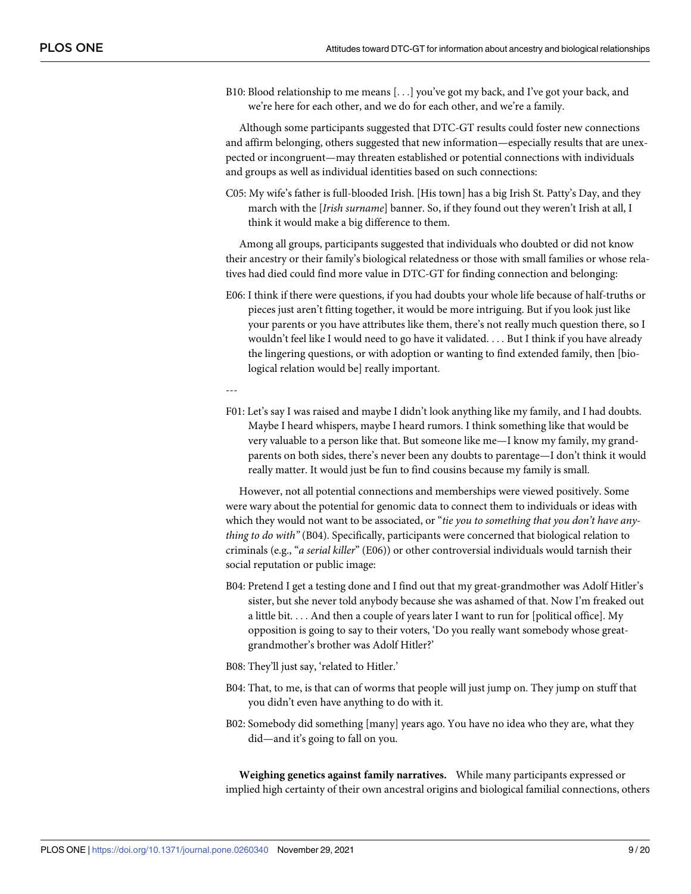B10: Blood relationship to me means [. . .] you've got my back, and I've got your back, and we're here for each other, and we do for each other, and we're a family.

Although some participants suggested that DTC-GT results could foster new connections and affirm belonging, others suggested that new information—especially results that are unexpected or incongruent—may threaten established or potential connections with individuals and groups as well as individual identities based on such connections:

C05: My wife's father is full-blooded Irish. [His town] has a big Irish St. Patty's Day, and they march with the [*Irish surname*] banner. So, if they found out they weren't Irish at all, I think it would make a big difference to them.

Among all groups, participants suggested that individuals who doubted or did not know their ancestry or their family's biological relatedness or those with small families or whose relatives had died could find more value in DTC-GT for finding connection and belonging:

E06: I think if there were questions, if you had doubts your whole life because of half-truths or pieces just aren't fitting together, it would be more intriguing. But if you look just like your parents or you have attributes like them, there's not really much question there, so I wouldn't feel like I would need to go have it validated. . . . But I think if you have already the lingering questions, or with adoption or wanting to find extended family, then [biological relation would be] really important.

---

F01: Let's say I was raised and maybe I didn't look anything like my family, and I had doubts. Maybe I heard whispers, maybe I heard rumors. I think something like that would be very valuable to a person like that. But someone like me—I know my family, my grandparents on both sides, there's never been any doubts to parentage—I don't think it would really matter. It would just be fun to find cousins because my family is small.

However, not all potential connections and memberships were viewed positively. Some were wary about the potential for genomic data to connect them to individuals or ideas with which they would not want to be associated, or "*tie you to something that you don't have anything to do with"* (B04). Specifically, participants were concerned that biological relation to criminals (e.g., "*a serial killer*" (E06)) or other controversial individuals would tarnish their social reputation or public image:

- B04: Pretend I get a testing done and I find out that my great-grandmother was Adolf Hitler's sister, but she never told anybody because she was ashamed of that. Now I'm freaked out a little bit. . . . And then a couple of years later I want to run for [political office]. My opposition is going to say to their voters, 'Do you really want somebody whose greatgrandmother's brother was Adolf Hitler?'
- B08: They'll just say, 'related to Hitler.'
- B04: That, to me, is that can of worms that people will just jump on. They jump on stuff that you didn't even have anything to do with it.
- B02: Somebody did something [many] years ago. You have no idea who they are, what they did—and it's going to fall on you.

**Weighing genetics against family narratives.** While many participants expressed or implied high certainty of their own ancestral origins and biological familial connections, others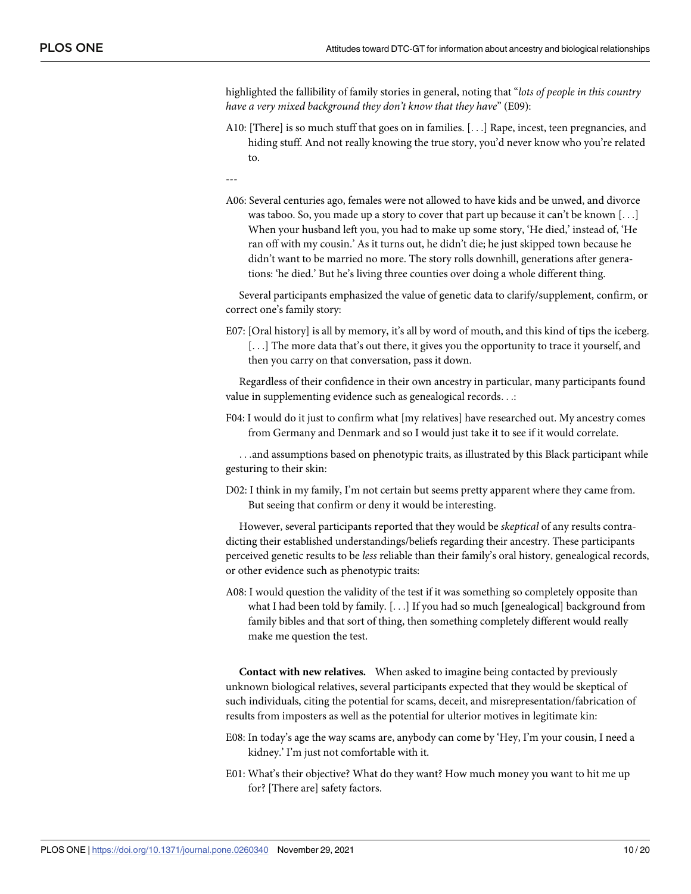highlighted the fallibility of family stories in general, noting that "*lots of people in this country have a very mixed background they don't know that they have*" (E09):

- A10: [There] is so much stuff that goes on in families. [. . .] Rape, incest, teen pregnancies, and hiding stuff. And not really knowing the true story, you'd never know who you're related to.
- ---
- A06: Several centuries ago, females were not allowed to have kids and be unwed, and divorce was taboo. So, you made up a story to cover that part up because it can't be known  $[\ldots]$ When your husband left you, you had to make up some story, 'He died,' instead of, 'He ran off with my cousin.' As it turns out, he didn't die; he just skipped town because he didn't want to be married no more. The story rolls downhill, generations after generations: 'he died.' But he's living three counties over doing a whole different thing.

Several participants emphasized the value of genetic data to clarify/supplement, confirm, or correct one's family story:

E07: [Oral history] is all by memory, it's all by word of mouth, and this kind of tips the iceberg. [...] The more data that's out there, it gives you the opportunity to trace it yourself, and then you carry on that conversation, pass it down.

Regardless of their confidence in their own ancestry in particular, many participants found value in supplementing evidence such as genealogical records. . .:

F04: I would do it just to confirm what [my relatives] have researched out. My ancestry comes from Germany and Denmark and so I would just take it to see if it would correlate.

. . .and assumptions based on phenotypic traits, as illustrated by this Black participant while gesturing to their skin:

D02: I think in my family, I'm not certain but seems pretty apparent where they came from. But seeing that confirm or deny it would be interesting.

However, several participants reported that they would be *skeptical* of any results contradicting their established understandings/beliefs regarding their ancestry. These participants perceived genetic results to be *less* reliable than their family's oral history, genealogical records, or other evidence such as phenotypic traits:

A08: I would question the validity of the test if it was something so completely opposite than what I had been told by family. [. . .] If you had so much [genealogical] background from family bibles and that sort of thing, then something completely different would really make me question the test.

**Contact with new relatives.** When asked to imagine being contacted by previously unknown biological relatives, several participants expected that they would be skeptical of such individuals, citing the potential for scams, deceit, and misrepresentation/fabrication of results from imposters as well as the potential for ulterior motives in legitimate kin:

- E08: In today's age the way scams are, anybody can come by 'Hey, I'm your cousin, I need a kidney.' I'm just not comfortable with it.
- E01: What's their objective? What do they want? How much money you want to hit me up for? [There are] safety factors.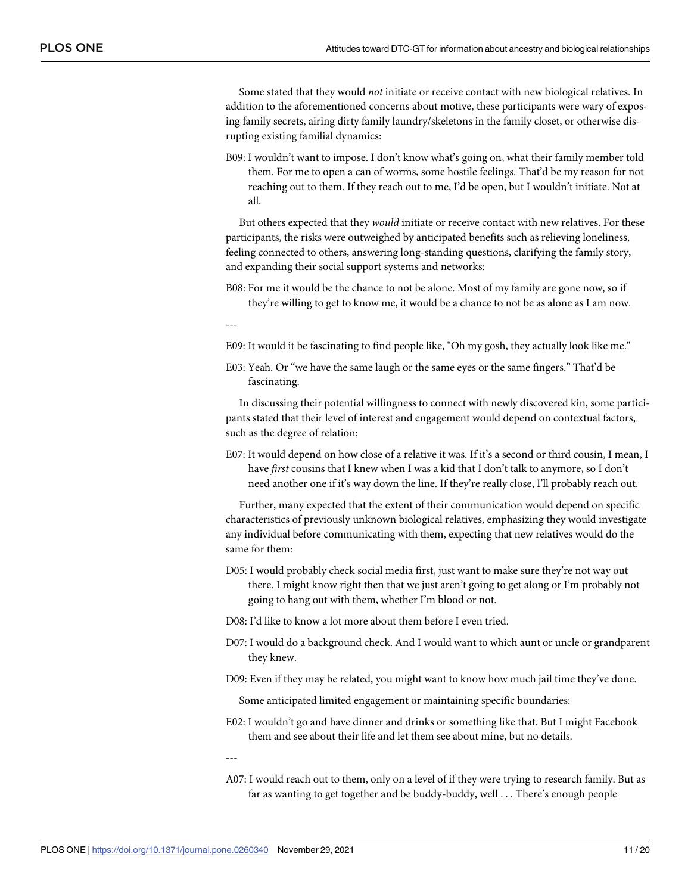Some stated that they would *not* initiate or receive contact with new biological relatives. In addition to the aforementioned concerns about motive, these participants were wary of exposing family secrets, airing dirty family laundry/skeletons in the family closet, or otherwise disrupting existing familial dynamics:

B09: I wouldn't want to impose. I don't know what's going on, what their family member told them. For me to open a can of worms, some hostile feelings. That'd be my reason for not reaching out to them. If they reach out to me, I'd be open, but I wouldn't initiate. Not at all.

But others expected that they *would* initiate or receive contact with new relatives. For these participants, the risks were outweighed by anticipated benefits such as relieving loneliness, feeling connected to others, answering long-standing questions, clarifying the family story, and expanding their social support systems and networks:

B08: For me it would be the chance to not be alone. Most of my family are gone now, so if they're willing to get to know me, it would be a chance to not be as alone as I am now.

---

- E09: It would it be fascinating to find people like, "Oh my gosh, they actually look like me."
- E03: Yeah. Or "we have the same laugh or the same eyes or the same fingers." That'd be fascinating.

In discussing their potential willingness to connect with newly discovered kin, some participants stated that their level of interest and engagement would depend on contextual factors, such as the degree of relation:

E07: It would depend on how close of a relative it was. If it's a second or third cousin, I mean, I have *first* cousins that I knew when I was a kid that I don't talk to anymore, so I don't need another one if it's way down the line. If they're really close, I'll probably reach out.

Further, many expected that the extent of their communication would depend on specific characteristics of previously unknown biological relatives, emphasizing they would investigate any individual before communicating with them, expecting that new relatives would do the same for them:

- D05: I would probably check social media first, just want to make sure they're not way out there. I might know right then that we just aren't going to get along or I'm probably not going to hang out with them, whether I'm blood or not.
- D08: I'd like to know a lot more about them before I even tried.
- D07: I would do a background check. And I would want to which aunt or uncle or grandparent they knew.
- D09: Even if they may be related, you might want to know how much jail time they've done.

Some anticipated limited engagement or maintaining specific boundaries:

E02: I wouldn't go and have dinner and drinks or something like that. But I might Facebook them and see about their life and let them see about mine, but no details.

---

A07: I would reach out to them, only on a level of if they were trying to research family. But as far as wanting to get together and be buddy-buddy, well . . . There's enough people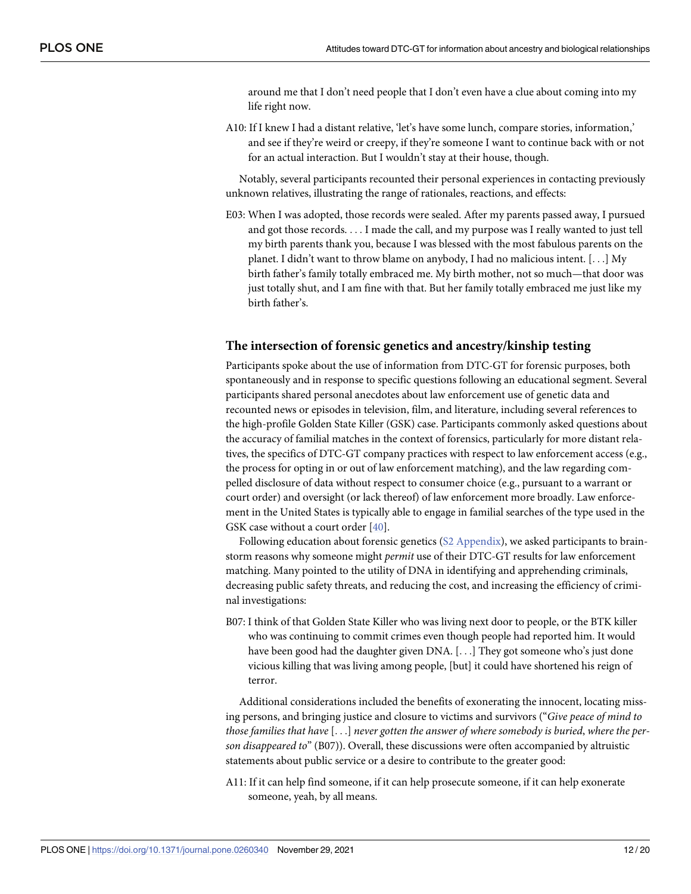around me that I don't need people that I don't even have a clue about coming into my life right now.

<span id="page-11-0"></span>A10: If I knew I had a distant relative, 'let's have some lunch, compare stories, information,' and see if they're weird or creepy, if they're someone I want to continue back with or not for an actual interaction. But I wouldn't stay at their house, though.

Notably, several participants recounted their personal experiences in contacting previously unknown relatives, illustrating the range of rationales, reactions, and effects:

E03: When I was adopted, those records were sealed. After my parents passed away, I pursued and got those records. . . . I made the call, and my purpose was I really wanted to just tell my birth parents thank you, because I was blessed with the most fabulous parents on the planet. I didn't want to throw blame on anybody, I had no malicious intent. [. . .] My birth father's family totally embraced me. My birth mother, not so much—that door was just totally shut, and I am fine with that. But her family totally embraced me just like my birth father's.

#### **The intersection of forensic genetics and ancestry/kinship testing**

Participants spoke about the use of information from DTC-GT for forensic purposes, both spontaneously and in response to specific questions following an educational segment. Several participants shared personal anecdotes about law enforcement use of genetic data and recounted news or episodes in television, film, and literature, including several references to the high-profile Golden State Killer (GSK) case. Participants commonly asked questions about the accuracy of familial matches in the context of forensics, particularly for more distant relatives, the specifics of DTC-GT company practices with respect to law enforcement access (e.g., the process for opting in or out of law enforcement matching), and the law regarding compelled disclosure of data without respect to consumer choice (e.g., pursuant to a warrant or court order) and oversight (or lack thereof) of law enforcement more broadly. Law enforcement in the United States is typically able to engage in familial searches of the type used in the GSK case without a court order [\[40\]](#page-18-0).

Following education about forensic genetics (S2 [Appendix\)](#page-15-0), we asked participants to brainstorm reasons why someone might *permit* use of their DTC-GT results for law enforcement matching. Many pointed to the utility of DNA in identifying and apprehending criminals, decreasing public safety threats, and reducing the cost, and increasing the efficiency of criminal investigations:

B07: I think of that Golden State Killer who was living next door to people, or the BTK killer who was continuing to commit crimes even though people had reported him. It would have been good had the daughter given DNA. [...] They got someone who's just done vicious killing that was living among people, [but] it could have shortened his reign of terror.

Additional considerations included the benefits of exonerating the innocent, locating missing persons, and bringing justice and closure to victims and survivors ("*Give peace of mind to those families that have* [. . .] *never gotten the answer of where somebody is buried*, *where the person disappeared to*" (B07)). Overall, these discussions were often accompanied by altruistic statements about public service or a desire to contribute to the greater good:

A11: If it can help find someone, if it can help prosecute someone, if it can help exonerate someone, yeah, by all means.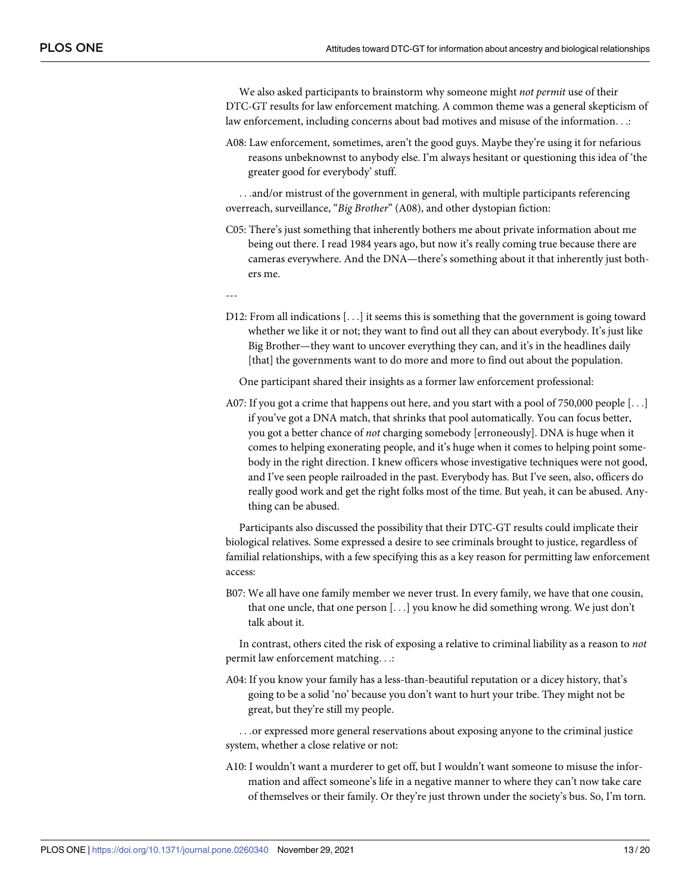We also asked participants to brainstorm why someone might *not permit* use of their DTC-GT results for law enforcement matching. A common theme was a general skepticism of law enforcement, including concerns about bad motives and misuse of the information. . .:

A08: Law enforcement, sometimes, aren't the good guys. Maybe they're using it for nefarious reasons unbeknownst to anybody else. I'm always hesitant or questioning this idea of 'the greater good for everybody' stuff.

. . .and/or mistrust of the government in general, with multiple participants referencing overreach, surveillance, "*Big Brother*" (A08), and other dystopian fiction:

C05: There's just something that inherently bothers me about private information about me being out there. I read 1984 years ago, but now it's really coming true because there are cameras everywhere. And the DNA—there's something about it that inherently just bothers me.

---

D12: From all indications [. . .] it seems this is something that the government is going toward whether we like it or not; they want to find out all they can about everybody. It's just like Big Brother—they want to uncover everything they can, and it's in the headlines daily [that] the governments want to do more and more to find out about the population.

One participant shared their insights as a former law enforcement professional:

A07: If you got a crime that happens out here, and you start with a pool of 750,000 people [. . .] if you've got a DNA match, that shrinks that pool automatically. You can focus better, you got a better chance of *not* charging somebody [erroneously]. DNA is huge when it comes to helping exonerating people, and it's huge when it comes to helping point somebody in the right direction. I knew officers whose investigative techniques were not good, and I've seen people railroaded in the past. Everybody has. But I've seen, also, officers do really good work and get the right folks most of the time. But yeah, it can be abused. Anything can be abused.

Participants also discussed the possibility that their DTC-GT results could implicate their biological relatives. Some expressed a desire to see criminals brought to justice, regardless of familial relationships, with a few specifying this as a key reason for permitting law enforcement access:

B07: We all have one family member we never trust. In every family, we have that one cousin, that one uncle, that one person [. . .] you know he did something wrong. We just don't talk about it.

In contrast, others cited the risk of exposing a relative to criminal liability as a reason to *not* permit law enforcement matching. . .:

A04: If you know your family has a less-than-beautiful reputation or a dicey history, that's going to be a solid 'no' because you don't want to hurt your tribe. They might not be great, but they're still my people.

. . .or expressed more general reservations about exposing anyone to the criminal justice system, whether a close relative or not:

A10: I wouldn't want a murderer to get off, but I wouldn't want someone to misuse the information and affect someone's life in a negative manner to where they can't now take care of themselves or their family. Or they're just thrown under the society's bus. So, I'm torn.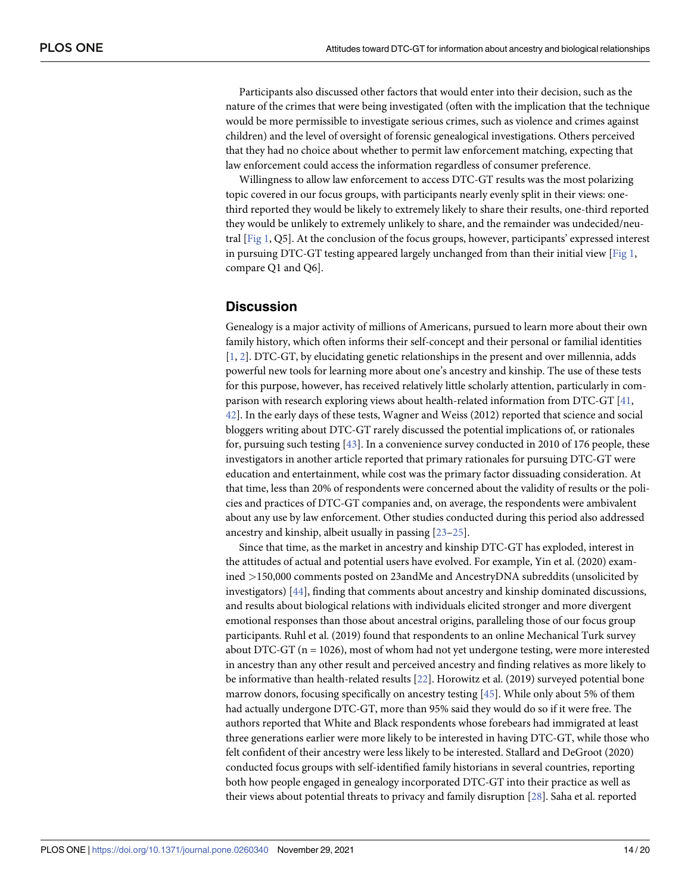<span id="page-13-0"></span>Participants also discussed other factors that would enter into their decision, such as the nature of the crimes that were being investigated (often with the implication that the technique would be more permissible to investigate serious crimes, such as violence and crimes against children) and the level of oversight of forensic genealogical investigations. Others perceived that they had no choice about whether to permit law enforcement matching, expecting that law enforcement could access the information regardless of consumer preference.

Willingness to allow law enforcement to access DTC-GT results was the most polarizing topic covered in our focus groups, with participants nearly evenly split in their views: onethird reported they would be likely to extremely likely to share their results, one-third reported they would be unlikely to extremely unlikely to share, and the remainder was undecided/neutral [\[Fig](#page-4-0) 1, Q5]. At the conclusion of the focus groups, however, participants' expressed interest in pursuing DTC-GT testing appeared largely unchanged from than their initial view  $[Fig 1,$  $[Fig 1,$  $[Fig 1,$ compare Q1 and Q6].

# **Discussion**

Genealogy is a major activity of millions of Americans, pursued to learn more about their own family history, which often informs their self-concept and their personal or familial identities [\[1](#page-16-0), [2](#page-16-0)]. DTC-GT, by elucidating genetic relationships in the present and over millennia, adds powerful new tools for learning more about one's ancestry and kinship. The use of these tests for this purpose, however, has received relatively little scholarly attention, particularly in comparison with research exploring views about health-related information from DTC-GT [\[41,](#page-18-0) [42\]](#page-18-0). In the early days of these tests, Wagner and Weiss (2012) reported that science and social bloggers writing about DTC-GT rarely discussed the potential implications of, or rationales for, pursuing such testing [\[43\]](#page-18-0). In a convenience survey conducted in 2010 of 176 people, these investigators in another article reported that primary rationales for pursuing DTC-GT were education and entertainment, while cost was the primary factor dissuading consideration. At that time, less than 20% of respondents were concerned about the validity of results or the policies and practices of DTC-GT companies and, on average, the respondents were ambivalent about any use by law enforcement. Other studies conducted during this period also addressed ancestry and kinship, albeit usually in passing [[23–25\]](#page-17-0).

Since that time, as the market in ancestry and kinship DTC-GT has exploded, interest in the attitudes of actual and potential users have evolved. For example, Yin et al. (2020) examined *>*150,000 comments posted on 23andMe and AncestryDNA subreddits (unsolicited by investigators) [[44](#page-18-0)], finding that comments about ancestry and kinship dominated discussions, and results about biological relations with individuals elicited stronger and more divergent emotional responses than those about ancestral origins, paralleling those of our focus group participants. Ruhl et al. (2019) found that respondents to an online Mechanical Turk survey about DTC-GT ( $n = 1026$ ), most of whom had not yet undergone testing, were more interested in ancestry than any other result and perceived ancestry and finding relatives as more likely to be informative than health-related results [[22](#page-17-0)]. Horowitz et al. (2019) surveyed potential bone marrow donors, focusing specifically on ancestry testing [[45](#page-18-0)]. While only about 5% of them had actually undergone DTC-GT, more than 95% said they would do so if it were free. The authors reported that White and Black respondents whose forebears had immigrated at least three generations earlier were more likely to be interested in having DTC-GT, while those who felt confident of their ancestry were less likely to be interested. Stallard and DeGroot (2020) conducted focus groups with self-identified family historians in several countries, reporting both how people engaged in genealogy incorporated DTC-GT into their practice as well as their views about potential threats to privacy and family disruption [[28](#page-17-0)]. Saha et al. reported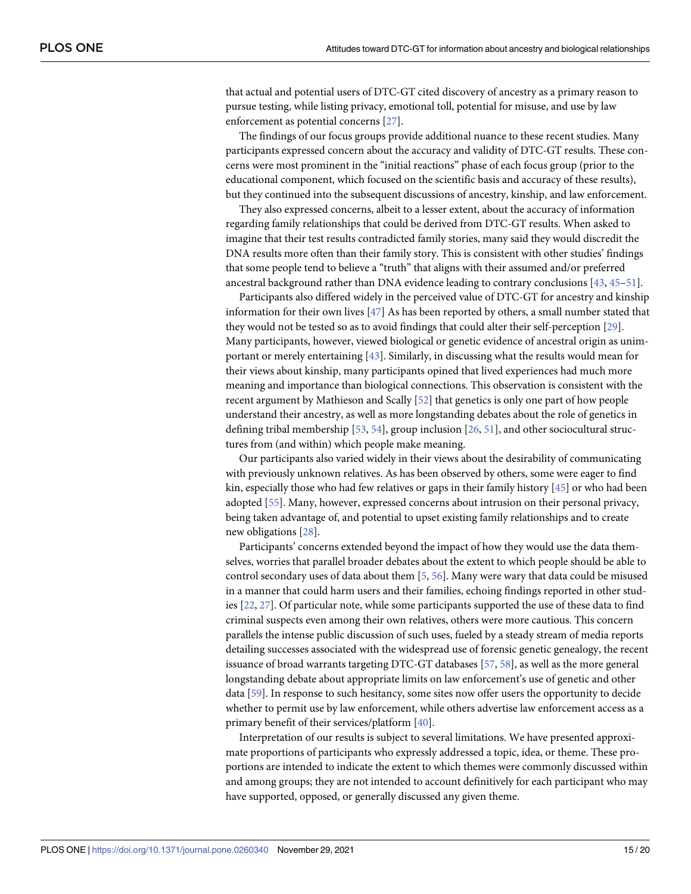<span id="page-14-0"></span>that actual and potential users of DTC-GT cited discovery of ancestry as a primary reason to pursue testing, while listing privacy, emotional toll, potential for misuse, and use by law enforcement as potential concerns [\[27\]](#page-17-0).

The findings of our focus groups provide additional nuance to these recent studies. Many participants expressed concern about the accuracy and validity of DTC-GT results. These concerns were most prominent in the "initial reactions" phase of each focus group (prior to the educational component, which focused on the scientific basis and accuracy of these results), but they continued into the subsequent discussions of ancestry, kinship, and law enforcement.

They also expressed concerns, albeit to a lesser extent, about the accuracy of information regarding family relationships that could be derived from DTC-GT results. When asked to imagine that their test results contradicted family stories, many said they would discredit the DNA results more often than their family story. This is consistent with other studies' findings that some people tend to believe a "truth" that aligns with their assumed and/or preferred ancestral background rather than DNA evidence leading to contrary conclusions [\[43,](#page-18-0) [45–51](#page-18-0)].

Participants also differed widely in the perceived value of DTC-GT for ancestry and kinship information for their own lives [\[47\]](#page-18-0) As has been reported by others, a small number stated that they would not be tested so as to avoid findings that could alter their self-perception [\[29\]](#page-17-0). Many participants, however, viewed biological or genetic evidence of ancestral origin as unimportant or merely entertaining [\[43\]](#page-18-0). Similarly, in discussing what the results would mean for their views about kinship, many participants opined that lived experiences had much more meaning and importance than biological connections. This observation is consistent with the recent argument by Mathieson and Scally [\[52\]](#page-18-0) that genetics is only one part of how people understand their ancestry, as well as more longstanding debates about the role of genetics in defining tribal membership [\[53,](#page-18-0) [54](#page-18-0)], group inclusion [[26](#page-17-0), [51](#page-18-0)], and other sociocultural structures from (and within) which people make meaning.

Our participants also varied widely in their views about the desirability of communicating with previously unknown relatives. As has been observed by others, some were eager to find kin, especially those who had few relatives or gaps in their family history  $[45]$  $[45]$  $[45]$  or who had been adopted [[55](#page-19-0)]. Many, however, expressed concerns about intrusion on their personal privacy, being taken advantage of, and potential to upset existing family relationships and to create new obligations [\[28\]](#page-17-0).

Participants' concerns extended beyond the impact of how they would use the data themselves, worries that parallel broader debates about the extent to which people should be able to control secondary uses of data about them [\[5](#page-16-0), [56](#page-19-0)]. Many were wary that data could be misused in a manner that could harm users and their families, echoing findings reported in other studies [\[22,](#page-17-0) [27\]](#page-17-0). Of particular note, while some participants supported the use of these data to find criminal suspects even among their own relatives, others were more cautious. This concern parallels the intense public discussion of such uses, fueled by a steady stream of media reports detailing successes associated with the widespread use of forensic genetic genealogy, the recent issuance of broad warrants targeting DTC-GT databases [\[57,](#page-19-0) [58\]](#page-19-0), as well as the more general longstanding debate about appropriate limits on law enforcement's use of genetic and other data [[59](#page-19-0)]. In response to such hesitancy, some sites now offer users the opportunity to decide whether to permit use by law enforcement, while others advertise law enforcement access as a primary benefit of their services/platform [\[40\]](#page-18-0).

Interpretation of our results is subject to several limitations. We have presented approximate proportions of participants who expressly addressed a topic, idea, or theme. These proportions are intended to indicate the extent to which themes were commonly discussed within and among groups; they are not intended to account definitively for each participant who may have supported, opposed, or generally discussed any given theme.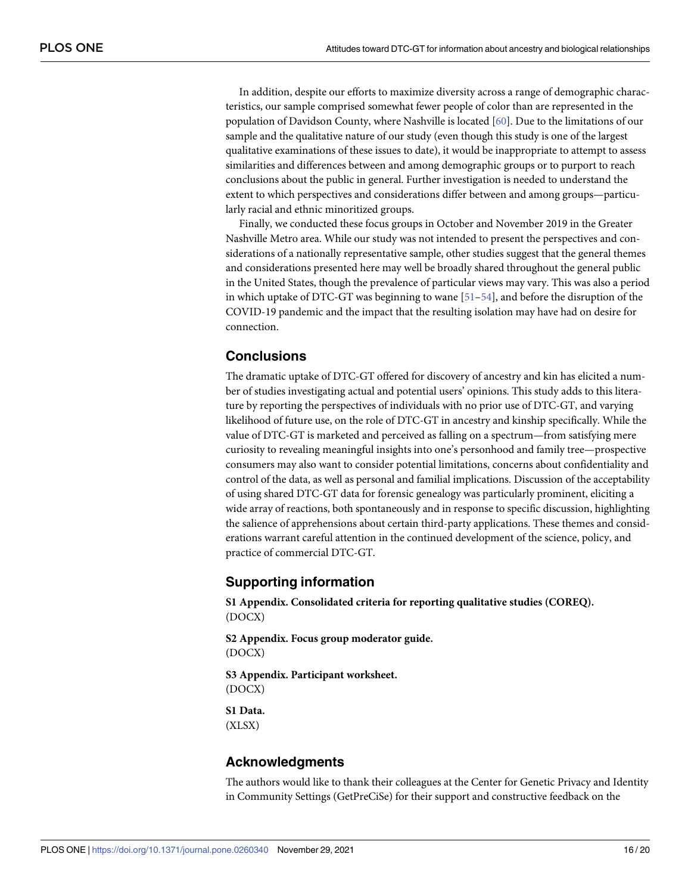<span id="page-15-0"></span>In addition, despite our efforts to maximize diversity across a range of demographic characteristics, our sample comprised somewhat fewer people of color than are represented in the population of Davidson County, where Nashville is located [\[60\]](#page-19-0). Due to the limitations of our sample and the qualitative nature of our study (even though this study is one of the largest qualitative examinations of these issues to date), it would be inappropriate to attempt to assess similarities and differences between and among demographic groups or to purport to reach conclusions about the public in general. Further investigation is needed to understand the extent to which perspectives and considerations differ between and among groups—particularly racial and ethnic minoritized groups.

Finally, we conducted these focus groups in October and November 2019 in the Greater Nashville Metro area. While our study was not intended to present the perspectives and considerations of a nationally representative sample, other studies suggest that the general themes and considerations presented here may well be broadly shared throughout the general public in the United States, though the prevalence of particular views may vary. This was also a period in which uptake of DTC-GT was beginning to wane  $[51–54]$  $[51–54]$ , and before the disruption of the COVID-19 pandemic and the impact that the resulting isolation may have had on desire for connection.

# **Conclusions**

The dramatic uptake of DTC-GT offered for discovery of ancestry and kin has elicited a number of studies investigating actual and potential users' opinions. This study adds to this literature by reporting the perspectives of individuals with no prior use of DTC-GT, and varying likelihood of future use, on the role of DTC-GT in ancestry and kinship specifically. While the value of DTC-GT is marketed and perceived as falling on a spectrum—from satisfying mere curiosity to revealing meaningful insights into one's personhood and family tree—prospective consumers may also want to consider potential limitations, concerns about confidentiality and control of the data, as well as personal and familial implications. Discussion of the acceptability of using shared DTC-GT data for forensic genealogy was particularly prominent, eliciting a wide array of reactions, both spontaneously and in response to specific discussion, highlighting the salience of apprehensions about certain third-party applications. These themes and considerations warrant careful attention in the continued development of the science, policy, and practice of commercial DTC-GT.

# **Supporting information**

**S1 [Appendix](http://www.plosone.org/article/fetchSingleRepresentation.action?uri=info:doi/10.1371/journal.pone.0260340.s001). Consolidated criteria for reporting qualitative studies (COREQ).** (DOCX)

**S2 [Appendix](http://www.plosone.org/article/fetchSingleRepresentation.action?uri=info:doi/10.1371/journal.pone.0260340.s002). Focus group moderator guide.** (DOCX)

**S3 [Appendix](http://www.plosone.org/article/fetchSingleRepresentation.action?uri=info:doi/10.1371/journal.pone.0260340.s003). Participant worksheet.** (DOCX)

**S1 [Data](http://www.plosone.org/article/fetchSingleRepresentation.action?uri=info:doi/10.1371/journal.pone.0260340.s004).** (XLSX)

# **Acknowledgments**

The authors would like to thank their colleagues at the Center for Genetic Privacy and Identity in Community Settings (GetPreCiSe) for their support and constructive feedback on the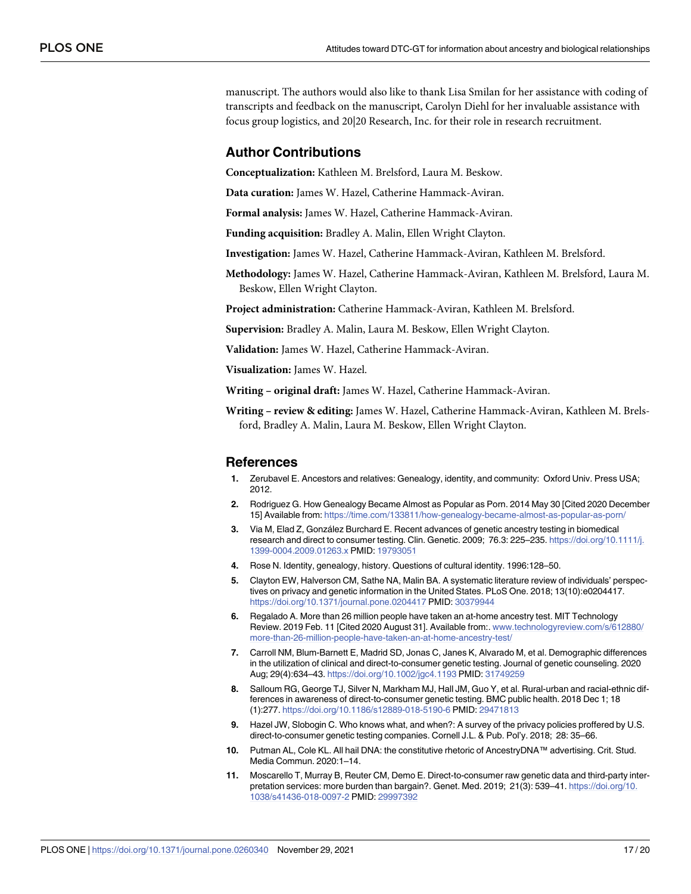<span id="page-16-0"></span>manuscript. The authors would also like to thank Lisa Smilan for her assistance with coding of transcripts and feedback on the manuscript, Carolyn Diehl for her invaluable assistance with focus group logistics, and 20|20 Research, Inc. for their role in research recruitment.

### **Author Contributions**

**Conceptualization:** Kathleen M. Brelsford, Laura M. Beskow.

**Data curation:** James W. Hazel, Catherine Hammack-Aviran.

**Formal analysis:** James W. Hazel, Catherine Hammack-Aviran.

**Funding acquisition:** Bradley A. Malin, Ellen Wright Clayton.

**Investigation:** James W. Hazel, Catherine Hammack-Aviran, Kathleen M. Brelsford.

**Methodology:** James W. Hazel, Catherine Hammack-Aviran, Kathleen M. Brelsford, Laura M. Beskow, Ellen Wright Clayton.

**Project administration:** Catherine Hammack-Aviran, Kathleen M. Brelsford.

**Supervision:** Bradley A. Malin, Laura M. Beskow, Ellen Wright Clayton.

**Validation:** James W. Hazel, Catherine Hammack-Aviran.

**Visualization:** James W. Hazel.

**Writing – original draft:** James W. Hazel, Catherine Hammack-Aviran.

**Writing – review & editing:** James W. Hazel, Catherine Hammack-Aviran, Kathleen M. Brelsford, Bradley A. Malin, Laura M. Beskow, Ellen Wright Clayton.

#### **References**

- **[1](#page-1-0).** Zerubavel E. Ancestors and relatives: Genealogy, identity, and community: Oxford Univ. Press USA; 2012.
- **[2](#page-1-0).** Rodriguez G. How Genealogy Became Almost as Popular as Porn. 2014 May 30 [Cited 2020 December 15] Available from: <https://time.com/133811/how-genealogy-became-almost-as-popular-as-porn/>
- **[3](#page-1-0).** Via M, Elad Z, González Burchard E. Recent advances of genetic ancestry testing in biomedical research and direct to consumer testing. Clin. Genetic. 2009; 76.3: 225–235. [https://doi.org/10.1111/j.](https://doi.org/10.1111/j.1399-0004.2009.01263.x) [1399-0004.2009.01263.x](https://doi.org/10.1111/j.1399-0004.2009.01263.x) PMID: [19793051](http://www.ncbi.nlm.nih.gov/pubmed/19793051)
- **[4](#page-1-0).** Rose N. Identity, genealogy, history. Questions of cultural identity. 1996:128–50.
- **[5](#page-1-0).** Clayton EW, Halverson CM, Sathe NA, Malin BA. A systematic literature review of individuals' perspectives on privacy and genetic information in the United States. PLoS One. 2018; 13(10):e0204417. <https://doi.org/10.1371/journal.pone.0204417> PMID: [30379944](http://www.ncbi.nlm.nih.gov/pubmed/30379944)
- **[6](#page-1-0).** Regalado A. More than 26 million people have taken an at-home ancestry test. MIT Technology Review. 2019 Feb. 11 [Cited 2020 August 31]. Available from:. [www.technologyreview.com/s/612880/](http://www.technologyreview.com/s/612880/more-than-26-million-people-have-taken-an-at-home-ancestry-test/) [more-than-26-million-people-have-taken-an-at-home-ancestry-test/](http://www.technologyreview.com/s/612880/more-than-26-million-people-have-taken-an-at-home-ancestry-test/)
- **7.** Carroll NM, Blum-Barnett E, Madrid SD, Jonas C, Janes K, Alvarado M, et al. Demographic differences in the utilization of clinical and direct-to-consumer genetic testing. Journal of genetic counseling. 2020 Aug; 29(4):634–43. <https://doi.org/10.1002/jgc4.1193> PMID: [31749259](http://www.ncbi.nlm.nih.gov/pubmed/31749259)
- **[8](#page-1-0).** Salloum RG, George TJ, Silver N, Markham MJ, Hall JM, Guo Y, et al. Rural-urban and racial-ethnic differences in awareness of direct-to-consumer genetic testing. BMC public health. 2018 Dec 1; 18 (1):277. <https://doi.org/10.1186/s12889-018-5190-6> PMID: [29471813](http://www.ncbi.nlm.nih.gov/pubmed/29471813)
- **[9](#page-1-0).** Hazel JW, Slobogin C. Who knows what, and when?: A survey of the privacy policies proffered by U.S. direct-to-consumer genetic testing companies. Cornell J.L. & Pub. Pol'y. 2018; 28: 35–66.
- **[10](#page-1-0).** Putman AL, Cole KL. All hail DNA: the constitutive rhetoric of AncestryDNA™ advertising. Crit. Stud. Media Commun. 2020:1–14.
- **[11](#page-1-0).** Moscarello T, Murray B, Reuter CM, Demo E. Direct-to-consumer raw genetic data and third-party interpretation services: more burden than bargain?. Genet. Med. 2019; 21(3): 539–41. [https://doi.org/10.](https://doi.org/10.1038/s41436-018-0097-2) [1038/s41436-018-0097-2](https://doi.org/10.1038/s41436-018-0097-2) PMID: [29997392](http://www.ncbi.nlm.nih.gov/pubmed/29997392)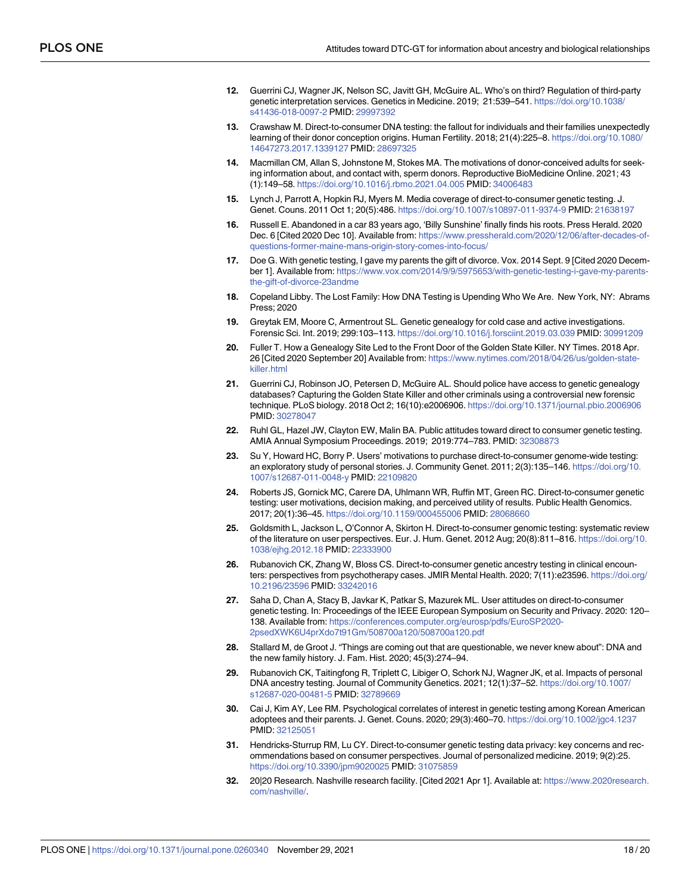- <span id="page-17-0"></span>**[12](#page-1-0).** Guerrini CJ, Wagner JK, Nelson SC, Javitt GH, McGuire AL. Who's on third? Regulation of third-party genetic interpretation services. Genetics in Medicine. 2019; 21:539–541. [https://doi.org/10.1038/](https://doi.org/10.1038/s41436-018-0097-2) [s41436-018-0097-2](https://doi.org/10.1038/s41436-018-0097-2) PMID: [29997392](http://www.ncbi.nlm.nih.gov/pubmed/29997392)
- **[13](#page-1-0).** Crawshaw M. Direct-to-consumer DNA testing: the fallout for individuals and their families unexpectedly learning of their donor conception origins. Human Fertility. 2018; 21(4):225–8. [https://doi.org/10.1080/](https://doi.org/10.1080/14647273.2017.1339127) [14647273.2017.1339127](https://doi.org/10.1080/14647273.2017.1339127) PMID: [28697325](http://www.ncbi.nlm.nih.gov/pubmed/28697325)
- **[14](#page-1-0).** Macmillan CM, Allan S, Johnstone M, Stokes MA. The motivations of donor-conceived adults for seeking information about, and contact with, sperm donors. Reproductive BioMedicine Online. 2021; 43 (1):149–58. <https://doi.org/10.1016/j.rbmo.2021.04.005> PMID: [34006483](http://www.ncbi.nlm.nih.gov/pubmed/34006483)
- **[15](#page-1-0).** Lynch J, Parrott A, Hopkin RJ, Myers M. Media coverage of direct-to-consumer genetic testing. J. Genet. Couns. 2011 Oct 1; 20(5):486. <https://doi.org/10.1007/s10897-011-9374-9> PMID: [21638197](http://www.ncbi.nlm.nih.gov/pubmed/21638197)
- **[16](#page-1-0).** Russell E. Abandoned in a car 83 years ago, 'Billy Sunshine' finally finds his roots. Press Herald. 2020 Dec. 6 [Cited 2020 Dec 10]. Available from: [https://www.pressherald.com/2020/12/06/after-decades-of](https://www.pressherald.com/2020/12/06/after-decades-of-questions-former-maine-mans-origin-story-comes-into-focus/)[questions-former-maine-mans-origin-story-comes-into-focus/](https://www.pressherald.com/2020/12/06/after-decades-of-questions-former-maine-mans-origin-story-comes-into-focus/)
- **[17](#page-1-0).** Doe G. With genetic testing, I gave my parents the gift of divorce. Vox. 2014 Sept. 9 [Cited 2020 December 1]. Available from: [https://www.vox.com/2014/9/9/5975653/with-genetic-testing-i-gave-my-parents](https://www.vox.com/2014/9/9/5975653/with-genetic-testing-i-gave-my-parents-the-gift-of-divorce-23andme)[the-gift-of-divorce-23andme](https://www.vox.com/2014/9/9/5975653/with-genetic-testing-i-gave-my-parents-the-gift-of-divorce-23andme)
- **[18](#page-1-0).** Copeland Libby. The Lost Family: How DNA Testing is Upending Who We Are. New York, NY: Abrams Press; 2020
- **[19](#page-1-0).** Greytak EM, Moore C, Armentrout SL. Genetic genealogy for cold case and active investigations. Forensic Sci. Int. 2019; 299:103–113. <https://doi.org/10.1016/j.forsciint.2019.03.039> PMID: [30991209](http://www.ncbi.nlm.nih.gov/pubmed/30991209)
- **[20](#page-1-0).** Fuller T. How a Genealogy Site Led to the Front Door of the Golden State Killer. NY Times. 2018 Apr. 26 [Cited 2020 September 20] Available from: [https://www.nytimes.com/2018/04/26/us/golden-state](https://www.nytimes.com/2018/04/26/us/golden-state-killer.html)[killer.html](https://www.nytimes.com/2018/04/26/us/golden-state-killer.html)
- **[21](#page-1-0).** Guerrini CJ, Robinson JO, Petersen D, McGuire AL. Should police have access to genetic genealogy databases? Capturing the Golden State Killer and other criminals using a controversial new forensic technique. PLoS biology. 2018 Oct 2; 16(10):e2006906. <https://doi.org/10.1371/journal.pbio.2006906> PMID: [30278047](http://www.ncbi.nlm.nih.gov/pubmed/30278047)
- **[22](#page-1-0).** Ruhl GL, Hazel JW, Clayton EW, Malin BA. Public attitudes toward direct to consumer genetic testing. AMIA Annual Symposium Proceedings. 2019; 2019:774–783. PMID: [32308873](http://www.ncbi.nlm.nih.gov/pubmed/32308873)
- **[23](#page-1-0).** Su Y, Howard HC, Borry P. Users' motivations to purchase direct-to-consumer genome-wide testing: an exploratory study of personal stories. J. Community Genet. 2011; 2(3):135–146. [https://doi.org/10.](https://doi.org/10.1007/s12687-011-0048-y) [1007/s12687-011-0048-y](https://doi.org/10.1007/s12687-011-0048-y) PMID: [22109820](http://www.ncbi.nlm.nih.gov/pubmed/22109820)
- **24.** Roberts JS, Gornick MC, Carere DA, Uhlmann WR, Ruffin MT, Green RC. Direct-to-consumer genetic testing: user motivations, decision making, and perceived utility of results. Public Health Genomics. 2017; 20(1):36–45. <https://doi.org/10.1159/000455006> PMID: [28068660](http://www.ncbi.nlm.nih.gov/pubmed/28068660)
- **[25](#page-13-0).** Goldsmith L, Jackson L, O'Connor A, Skirton H. Direct-to-consumer genomic testing: systematic review of the literature on user perspectives. Eur. J. Hum. Genet. 2012 Aug; 20(8):811–816. [https://doi.org/10.](https://doi.org/10.1038/ejhg.2012.18) [1038/ejhg.2012.18](https://doi.org/10.1038/ejhg.2012.18) PMID: [22333900](http://www.ncbi.nlm.nih.gov/pubmed/22333900)
- **[26](#page-14-0).** Rubanovich CK, Zhang W, Bloss CS. Direct-to-consumer genetic ancestry testing in clinical encounters: perspectives from psychotherapy cases. JMIR Mental Health. 2020; 7(11):e23596. [https://doi.org/](https://doi.org/10.2196/23596) [10.2196/23596](https://doi.org/10.2196/23596) PMID: [33242016](http://www.ncbi.nlm.nih.gov/pubmed/33242016)
- **[27](#page-1-0).** Saha D, Chan A, Stacy B, Javkar K, Patkar S, Mazurek ML. User attitudes on direct-to-consumer genetic testing. In: Proceedings of the IEEE European Symposium on Security and Privacy. 2020: 120– 138. Available from: [https://conferences.computer.org/eurosp/pdfs/EuroSP2020-](https://conferences.computer.org/eurosp/pdfs/EuroSP2020-2psedXWK6U4prXdo7t91Gm/508700a120/508700a120.pdf) [2psedXWK6U4prXdo7t91Gm/508700a120/508700a120.pdf](https://conferences.computer.org/eurosp/pdfs/EuroSP2020-2psedXWK6U4prXdo7t91Gm/508700a120/508700a120.pdf)
- **[28](#page-1-0).** Stallard M, de Groot J. "Things are coming out that are questionable, we never knew about": DNA and the new family history. J. Fam. Hist. 2020; 45(3):274–94.
- **[29](#page-1-0).** Rubanovich CK, Taitingfong R, Triplett C, Libiger O, Schork NJ, Wagner JK, et al. Impacts of personal DNA ancestry testing. Journal of Community Genetics. 2021; 12(1):37–52. [https://doi.org/10.1007/](https://doi.org/10.1007/s12687-020-00481-5) [s12687-020-00481-5](https://doi.org/10.1007/s12687-020-00481-5) PMID: [32789669](http://www.ncbi.nlm.nih.gov/pubmed/32789669)
- **[30](#page-1-0).** Cai J, Kim AY, Lee RM. Psychological correlates of interest in genetic testing among Korean American adoptees and their parents. J. Genet. Couns. 2020; 29(3):460–70. <https://doi.org/10.1002/jgc4.1237> PMID: [32125051](http://www.ncbi.nlm.nih.gov/pubmed/32125051)
- **[31](#page-1-0).** Hendricks-Sturrup RM, Lu CY. Direct-to-consumer genetic testing data privacy: key concerns and recommendations based on consumer perspectives. Journal of personalized medicine. 2019; 9(2):25. <https://doi.org/10.3390/jpm9020025> PMID: [31075859](http://www.ncbi.nlm.nih.gov/pubmed/31075859)
- **[32](#page-2-0).** 20|20 Research. Nashville research facility. [Cited 2021 Apr 1]. Available at: [https://www.2020research.](https://www.2020research.com/nashville/) [com/nashville/](https://www.2020research.com/nashville/).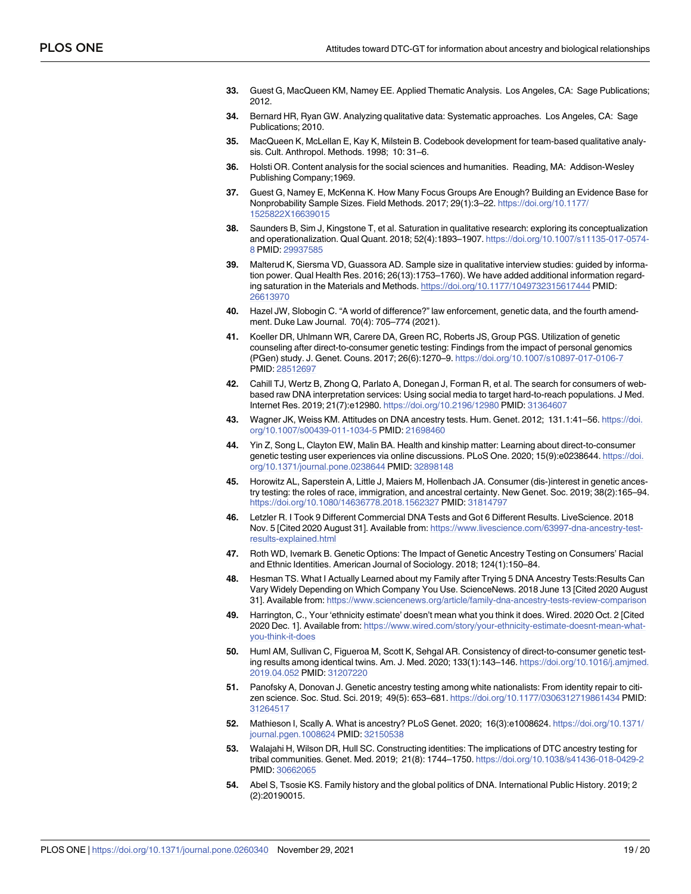- <span id="page-18-0"></span>**[33](#page-4-0).** Guest G, MacQueen KM, Namey EE. Applied Thematic Analysis. Los Angeles, CA: Sage Publications; 2012.
- **[34](#page-4-0).** Bernard HR, Ryan GW. Analyzing qualitative data: Systematic approaches. Los Angeles, CA: Sage Publications; 2010.
- **[35](#page-4-0).** MacQueen K, McLellan E, Kay K, Milstein B. Codebook development for team-based qualitative analysis. Cult. Anthropol. Methods. 1998; 10: 31–6.
- **[36](#page-4-0).** Holsti OR. Content analysis for the social sciences and humanities. Reading, MA: Addison-Wesley Publishing Company;1969.
- **[37](#page-4-0).** Guest G, Namey E, McKenna K. How Many Focus Groups Are Enough? Building an Evidence Base for Nonprobability Sample Sizes. Field Methods. 2017; 29(1):3–22. [https://doi.org/10.1177/](https://doi.org/10.1177/1525822X16639015) [1525822X16639015](https://doi.org/10.1177/1525822X16639015)
- **38.** Saunders B, Sim J, Kingstone T, et al. Saturation in qualitative research: exploring its conceptualization and operationalization. Qual Quant. 2018; 52(4):1893–1907. [https://doi.org/10.1007/s11135-017-0574-](https://doi.org/10.1007/s11135-017-0574-8) [8](https://doi.org/10.1007/s11135-017-0574-8) PMID: [29937585](http://www.ncbi.nlm.nih.gov/pubmed/29937585)
- **[39](#page-4-0).** Malterud K, Siersma VD, Guassora AD. Sample size in qualitative interview studies: guided by information power. Qual Health Res. 2016; 26(13):1753–1760). We have added additional information regarding saturation in the Materials and Methods. <https://doi.org/10.1177/1049732315617444> PMID: [26613970](http://www.ncbi.nlm.nih.gov/pubmed/26613970)
- **[40](#page-11-0).** Hazel JW, Slobogin C. "A world of difference?" law enforcement, genetic data, and the fourth amendment. Duke Law Journal. 70(4): 705–774 (2021).
- **[41](#page-13-0).** Koeller DR, Uhlmann WR, Carere DA, Green RC, Roberts JS, Group PGS. Utilization of genetic counseling after direct-to-consumer genetic testing: Findings from the impact of personal genomics (PGen) study. J. Genet. Couns. 2017; 26(6):1270–9. <https://doi.org/10.1007/s10897-017-0106-7> PMID: [28512697](http://www.ncbi.nlm.nih.gov/pubmed/28512697)
- **[42](#page-13-0).** Cahill TJ, Wertz B, Zhong Q, Parlato A, Donegan J, Forman R, et al. The search for consumers of webbased raw DNA interpretation services: Using social media to target hard-to-reach populations. J Med. Internet Res. 2019; 21(7):e12980. <https://doi.org/10.2196/12980> PMID: [31364607](http://www.ncbi.nlm.nih.gov/pubmed/31364607)
- **[43](#page-13-0).** Wagner JK, Weiss KM. Attitudes on DNA ancestry tests. Hum. Genet. 2012; 131.1:41–56. [https://doi.](https://doi.org/10.1007/s00439-011-1034-5) [org/10.1007/s00439-011-1034-5](https://doi.org/10.1007/s00439-011-1034-5) PMID: [21698460](http://www.ncbi.nlm.nih.gov/pubmed/21698460)
- **[44](#page-13-0).** Yin Z, Song L, Clayton EW, Malin BA. Health and kinship matter: Learning about direct-to-consumer genetic testing user experiences via online discussions. PLoS One. 2020; 15(9):e0238644. [https://doi.](https://doi.org/10.1371/journal.pone.0238644) [org/10.1371/journal.pone.0238644](https://doi.org/10.1371/journal.pone.0238644) PMID: [32898148](http://www.ncbi.nlm.nih.gov/pubmed/32898148)
- **[45](#page-13-0).** Horowitz AL, Saperstein A, Little J, Maiers M, Hollenbach JA. Consumer (dis-)interest in genetic ancestry testing: the roles of race, immigration, and ancestral certainty. New Genet. Soc. 2019; 38(2):165–94. <https://doi.org/10.1080/14636778.2018.1562327> PMID: [31814797](http://www.ncbi.nlm.nih.gov/pubmed/31814797)
- **46.** Letzler R. I Took 9 Different Commercial DNA Tests and Got 6 Different Results. LiveScience. 2018 Nov. 5 [Cited 2020 August 31]. Available from: [https://www.livescience.com/63997-dna-ancestry-test](https://www.livescience.com/63997-dna-ancestry-test-results-explained.html)[results-explained.html](https://www.livescience.com/63997-dna-ancestry-test-results-explained.html)
- **[47](#page-14-0).** Roth WD, Ivemark B. Genetic Options: The Impact of Genetic Ancestry Testing on Consumers' Racial and Ethnic Identities. American Journal of Sociology. 2018; 124(1):150–84.
- **48.** Hesman TS. What I Actually Learned about my Family after Trying 5 DNA Ancestry Tests:Results Can Vary Widely Depending on Which Company You Use. ScienceNews. 2018 June 13 [Cited 2020 August 31]. Available from: <https://www.sciencenews.org/article/family-dna-ancestry-tests-review-comparison>
- **49.** Harrington, C., Your 'ethnicity estimate' doesn't mean what you think it does. Wired. 2020 Oct. 2 [Cited 2020 Dec. 1]. Available from: [https://www.wired.com/story/your-ethnicity-estimate-doesnt-mean-what](https://www.wired.com/story/your-ethnicity-estimate-doesnt-mean-what-you-think-it-does)[you-think-it-does](https://www.wired.com/story/your-ethnicity-estimate-doesnt-mean-what-you-think-it-does)
- **50.** Huml AM, Sullivan C, Figueroa M, Scott K, Sehgal AR. Consistency of direct-to-consumer genetic testing results among identical twins. Am. J. Med. 2020; 133(1):143–146. [https://doi.org/10.1016/j.amjmed.](https://doi.org/10.1016/j.amjmed.2019.04.052) [2019.04.052](https://doi.org/10.1016/j.amjmed.2019.04.052) PMID: [31207220](http://www.ncbi.nlm.nih.gov/pubmed/31207220)
- **[51](#page-14-0).** Panofsky A, Donovan J. Genetic ancestry testing among white nationalists: From identity repair to citizen science. Soc. Stud. Sci. 2019; 49(5): 653–681. <https://doi.org/10.1177/0306312719861434> PMID: [31264517](http://www.ncbi.nlm.nih.gov/pubmed/31264517)
- **[52](#page-14-0).** Mathieson I, Scally A. What is ancestry? PLoS Genet. 2020; 16(3):e1008624. [https://doi.org/10.1371/](https://doi.org/10.1371/journal.pgen.1008624) [journal.pgen.1008624](https://doi.org/10.1371/journal.pgen.1008624) PMID: [32150538](http://www.ncbi.nlm.nih.gov/pubmed/32150538)
- **[53](#page-14-0).** Walajahi H, Wilson DR, Hull SC. Constructing identities: The implications of DTC ancestry testing for tribal communities. Genet. Med. 2019; 21(8): 1744–1750. <https://doi.org/10.1038/s41436-018-0429-2> PMID: [30662065](http://www.ncbi.nlm.nih.gov/pubmed/30662065)
- **[54](#page-14-0).** Abel S, Tsosie KS. Family history and the global politics of DNA. International Public History. 2019; 2 (2):20190015.